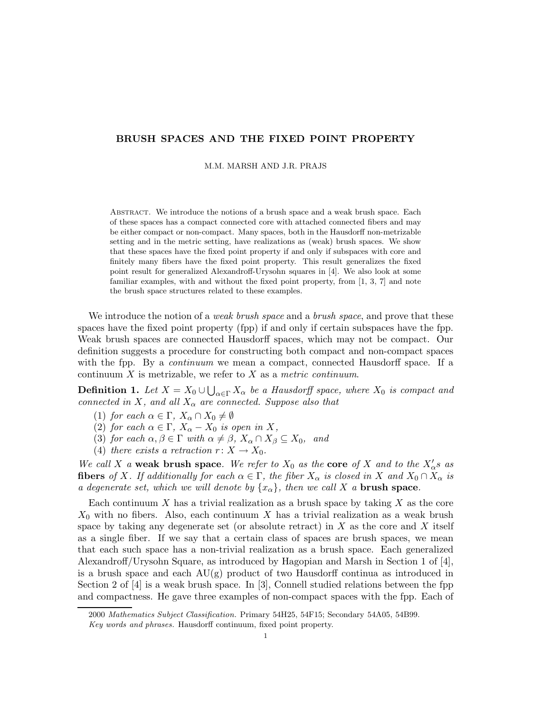## BRUSH SPACES AND THE FIXED POINT PROPERTY

M.M. MARSH AND J.R. PRAJS

Abstract. We introduce the notions of a brush space and a weak brush space. Each of these spaces has a compact connected core with attached connected fibers and may be either compact or non-compact. Many spaces, both in the Hausdorff non-metrizable setting and in the metric setting, have realizations as (weak) brush spaces. We show that these spaces have the fixed point property if and only if subspaces with core and finitely many fibers have the fixed point property. This result generalizes the fixed point result for generalized Alexandroff-Urysohn squares in [4]. We also look at some familiar examples, with and without the fixed point property, from [1, 3, 7] and note the brush space structures related to these examples.

We introduce the notion of a *weak brush space* and a *brush space*, and prove that these spaces have the fixed point property (fpp) if and only if certain subspaces have the fpp. Weak brush spaces are connected Hausdorff spaces, which may not be compact. Our definition suggests a procedure for constructing both compact and non-compact spaces with the fpp. By a *continuum* we mean a compact, connected Hausdorff space. If a continuum  $X$  is metrizable, we refer to  $X$  as a metric continuum.

**Definition 1.** Let  $X = X_0 \cup \bigcup_{\alpha \in \Gamma} X_\alpha$  be a Hausdorff space, where  $X_0$  is compact and connected in X, and all  $X_{\alpha}$  are connected. Suppose also that

- (1) for each  $\alpha \in \Gamma$ ,  $X_{\alpha} \cap X_0 \neq \emptyset$
- (2) for each  $\alpha \in \Gamma$ ,  $X_{\alpha} X_0$  is open in X,
- (3) for each  $\alpha, \beta \in \Gamma$  with  $\alpha \neq \beta$ ,  $X_{\alpha} \cap X_{\beta} \subseteq X_0$ , and
- (4) there exists a retraction  $r: X \to X_0$ .

We call X a weak brush space. We refer to  $X_0$  as the core of X and to the  $X'_0$  as **fibers** of X. If additionally for each  $\alpha \in \Gamma$ , the fiber  $X_{\alpha}$  is closed in X and  $X_0 \cap X_{\alpha}$  is a degenerate set, which we will denote by  $\{x_{\alpha}\}\$ , then we call X a **brush space**.

Each continuum  $X$  has a trivial realization as a brush space by taking  $X$  as the core  $X_0$  with no fibers. Also, each continuum X has a trivial realization as a weak brush space by taking any degenerate set (or absolute retract) in  $X$  as the core and  $X$  itself as a single fiber. If we say that a certain class of spaces are brush spaces, we mean that each such space has a non-trivial realization as a brush space. Each generalized Alexandroff/Urysohn Square, as introduced by Hagopian and Marsh in Section 1 of [4], is a brush space and each  $\text{AU}(\text{g})$  product of two Hausdorff continua as introduced in Section 2 of [4] is a weak brush space. In [3], Connell studied relations between the fpp and compactness. He gave three examples of non-compact spaces with the fpp. Each of

<sup>2000</sup> Mathematics Subject Classification. Primary 54H25, 54F15; Secondary 54A05, 54B99.

Key words and phrases. Hausdorff continuum, fixed point property.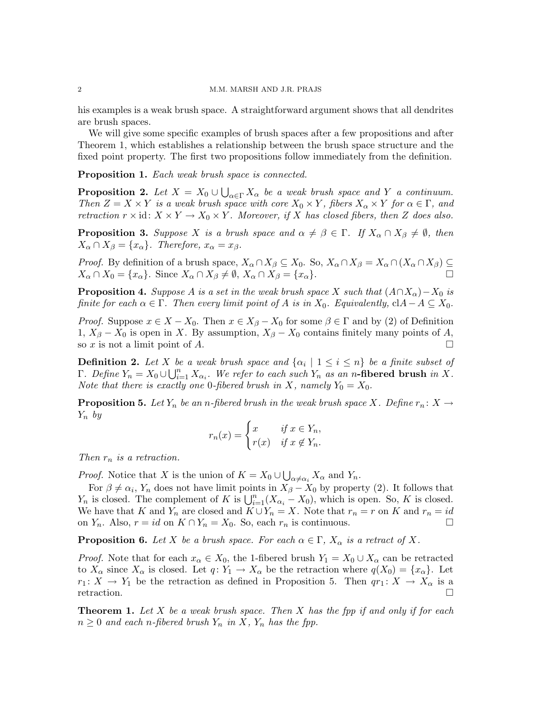his examples is a weak brush space. A straightforward argument shows that all dendrites are brush spaces.

We will give some specific examples of brush spaces after a few propositions and after Theorem 1, which establishes a relationship between the brush space structure and the fixed point property. The first two propositions follow immediately from the definition.

Proposition 1. Each weak brush space is connected.

**Proposition 2.** Let  $X = X_0 \cup \bigcup_{\alpha \in \Gamma} X_\alpha$  be a weak brush space and Y a continuum. Then  $Z = X \times Y$  is a weak brush space with core  $X_0 \times Y$ , fibers  $X_\alpha \times Y$  for  $\alpha \in \Gamma$ , and retraction  $r \times id$ :  $X \times Y \to X_0 \times Y$ . Moreover, if X has closed fibers, then Z does also.

**Proposition 3.** Suppose X is a brush space and  $\alpha \neq \beta \in \Gamma$ . If  $X_{\alpha} \cap X_{\beta} \neq \emptyset$ , then  $X_{\alpha} \cap X_{\beta} = \{x_{\alpha}\}.$  Therefore,  $x_{\alpha} = x_{\beta}.$ 

Proof. By definition of a brush space,  $X_\alpha \cap X_\beta \subseteq X_0$ . So,  $X_\alpha \cap X_\beta = X_\alpha \cap (X_\alpha \cap X_\beta) \subseteq X_0$  $X_{\alpha} \cap X_0 = \{x_{\alpha}\}.$  Since  $X_{\alpha} \cap X_{\beta} \neq \emptyset$ ,  $X_{\alpha} \cap X_{\beta} = \{x_{\alpha}\}.$ 

**Proposition 4.** Suppose A is a set in the weak brush space X such that  $(A \cap X_{\alpha}) - X_0$  is finite for each  $\alpha \in \Gamma$ . Then every limit point of A is in  $X_0$ . Equivalently, cl $A-A \subseteq X_0$ .

*Proof.* Suppose  $x \in X - X_0$ . Then  $x \in X_\beta - X_0$  for some  $\beta \in \Gamma$  and by (2) of Definition 1,  $X_{\beta} - X_0$  is open in X. By assumption,  $X_{\beta} - X_0$  contains finitely many points of A, so x is not a limit point of A.

**Definition 2.** Let X be a weak brush space and  $\{\alpha_i \mid 1 \leq i \leq n\}$  be a finite subset of Γ. Define  $Y_n = X_0 ∪ ∪_{i=1}^n X_{\alpha_i}$ . We refer to each such  $Y_n$  as an n-fibered brush in X. Note that there is exactly one 0-fibered brush in X, namely  $Y_0 = X_0$ .

**Proposition 5.** Let  $Y_n$  be an n-fibered brush in the weak brush space X. Define  $r_n: X \to Y$  $Y_n$  by

$$
r_n(x) = \begin{cases} x & \text{if } x \in Y_n, \\ r(x) & \text{if } x \notin Y_n. \end{cases}
$$

Then  $r_n$  is a retraction.

*Proof.* Notice that X is the union of  $K = X_0 \cup \bigcup_{\alpha \neq \alpha_i} X_\alpha$  and  $Y_n$ .

For  $\beta \neq \alpha_i$ , Y<sub>n</sub> does not have limit points in  $X_{\beta}-X_0$  by property (2). It follows that  $Y_n$  is closed. The complement of K is  $\bigcup_{i=1}^n (X_{\alpha_i} - X_0)$ , which is open. So, K is closed. We have that K and  $Y_n$  are closed and  $K \cup Y_n = X$ . Note that  $r_n = r$  on K and  $r_n = id$ on  $Y_n$ . Also,  $r = id$  on  $K ∩ Y_n = X_0$ . So, each  $r_n$  is continuous.  $□$ 

**Proposition 6.** Let X be a brush space. For each  $\alpha \in \Gamma$ ,  $X_{\alpha}$  is a retract of X.

*Proof.* Note that for each  $x_{\alpha} \in X_0$ , the 1-fibered brush  $Y_1 = X_0 \cup X_{\alpha}$  can be retracted to  $X_\alpha$  since  $X_\alpha$  is closed. Let  $q: Y_1 \to X_\alpha$  be the retraction where  $q(X_0) = \{x_\alpha\}$ . Let  $r_1: X \to Y_1$  be the retraction as defined in Proposition 5. Then  $qr_1: X \to X_\alpha$  is a retraction.

**Theorem 1.** Let X be a weak brush space. Then X has the fpp if and only if for each  $n \geq 0$  and each n-fibered brush  $Y_n$  in X,  $Y_n$  has the fpp.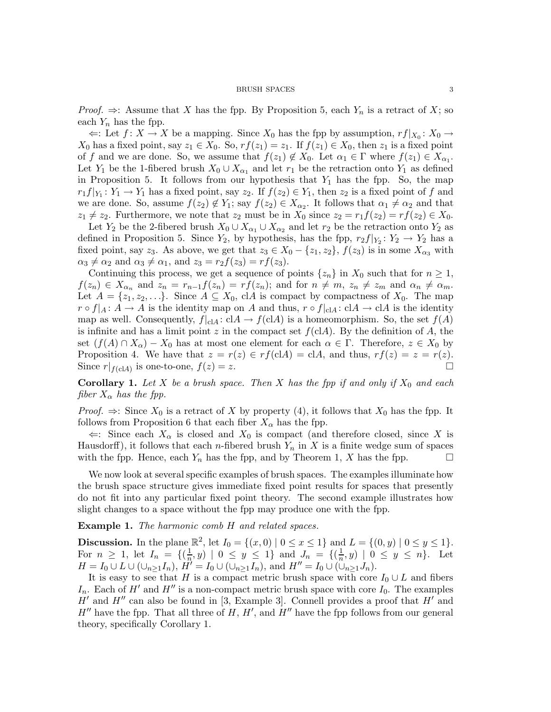*Proof.*  $\Rightarrow$ : Assume that X has the fpp. By Proposition 5, each  $Y_n$  is a retract of X; so each  $Y_n$  has the fpp.

 $\Leftarrow$ : Let  $f: X \to X$  be a mapping. Since  $X_0$  has the fpp by assumption,  $r f|_{X_0}: X_0 \to X$  $X_0$  has a fixed point, say  $z_1 \in X_0$ . So,  $rf(z_1) = z_1$ . If  $f(z_1) \in X_0$ , then  $z_1$  is a fixed point of f and we are done. So, we assume that  $f(z_1) \notin X_0$ . Let  $\alpha_1 \in \Gamma$  where  $f(z_1) \in X_{\alpha_1}$ . Let  $Y_1$  be the 1-fibered brush  $X_0 \cup X_{\alpha_1}$  and let  $r_1$  be the retraction onto  $Y_1$  as defined in Proposition 5. It follows from our hypothesis that  $Y_1$  has the fpp. So, the map  $r_1 f|_{Y_1}: Y_1 \to Y_1$  has a fixed point, say  $z_2$ . If  $f(z_2) \in Y_1$ , then  $z_2$  is a fixed point of f and we are done. So, assume  $f(z_2) \notin Y_1$ ; say  $f(z_2) \in X_{\alpha_2}$ . It follows that  $\alpha_1 \neq \alpha_2$  and that  $z_1 \neq z_2$ . Furthermore, we note that  $z_2$  must be in  $X_0$  since  $z_2 = r_1f(z_2) = rf(z_2) \in X_0$ .

Let  $Y_2$  be the 2-fibered brush  $X_0 \cup X_{\alpha_1} \cup X_{\alpha_2}$  and let  $r_2$  be the retraction onto  $Y_2$  as defined in Proposition 5. Since  $Y_2$ , by hypothesis, has the fpp,  $r_2 f|_{Y_2}: Y_2 \to Y_2$  has a fixed point, say z<sub>3</sub>. As above, we get that  $z_3 \in X_0 - \{z_1, z_2\}$ ,  $f(z_3)$  is in some  $X_{\alpha_3}$  with  $\alpha_3 \neq \alpha_2$  and  $\alpha_3 \neq \alpha_1$ , and  $z_3 = r_2f(z_3) = rf(z_3)$ .

Continuing this process, we get a sequence of points  $\{z_n\}$  in  $X_0$  such that for  $n \geq 1$ ,  $f(z_n) \in X_{\alpha_n}$  and  $z_n = r_{n-1}f(z_n) = rf(z_n)$ ; and for  $n \neq m$ ,  $z_n \neq z_m$  and  $\alpha_n \neq \alpha_m$ . Let  $A = \{z_1, z_2, \ldots\}$ . Since  $A \subseteq X_0$ , clA is compact by compactness of  $X_0$ . The map  $r \circ f|_A : A \to A$  is the identity map on A and thus,  $r \circ f|_{cA} : cA \to cA$  is the identity map as well. Consequently,  $f|_{cA} : cA \to f(cA)$  is a homeomorphism. So, the set  $f(A)$ is infinite and has a limit point z in the compact set  $f(clA)$ . By the definition of A, the set  $(f(A) \cap X_\alpha) - X_0$  has at most one element for each  $\alpha \in \Gamma$ . Therefore,  $z \in X_0$  by Proposition 4. We have that  $z = r(z) \in rf(\text{cl}A) = \text{cl}A$ , and thus,  $rf(z) = z = r(z)$ . Since  $r|_{f(\text{cl}A)}$  is one-to-one,  $f(z) = z$ .

**Corollary 1.** Let X be a brush space. Then X has the fpp if and only if  $X_0$  and each fiber  $X_{\alpha}$  has the fpp.

*Proof.*  $\Rightarrow$ : Since  $X_0$  is a retract of X by property (4), it follows that  $X_0$  has the fpp. It follows from Proposition 6 that each fiber  $X_{\alpha}$  has the fpp.

 $\Leftarrow$ : Since each  $X_{\alpha}$  is closed and  $X_0$  is compact (and therefore closed, since X is Hausdorff), it follows that each *n*-fibered brush  $Y_n$  in X is a finite wedge sum of spaces with the fpp. Hence, each  $Y_n$  has the fpp, and by Theorem 1, X has the fpp.  $\Box$ 

We now look at several specific examples of brush spaces. The examples illuminate how the brush space structure gives immediate fixed point results for spaces that presently do not fit into any particular fixed point theory. The second example illustrates how slight changes to a space without the fpp may produce one with the fpp.

Example 1. The harmonic comb H and related spaces.

**Discussion.** In the plane  $\mathbb{R}^2$ , let  $I_0 = \{(x, 0) | 0 \le x \le 1\}$  and  $L = \{(0, y) | 0 \le y \le 1\}$ . For  $n \geq 1$ , let  $I_n = \{(\frac{1}{n}, y) \mid 0 \leq y \leq 1\}$  and  $J_n = \{(\frac{1}{n}, y) \mid 0 \leq y \leq n\}$ . Let  $H = I_0 \cup L \cup (\cup_{n \geq 1} I_n), H^{\prime} = I_0 \cup (\cup_{n \geq 1} I_n), \text{ and } H^{\prime\prime} = I_0 \cup (\cup_{n \geq 1} J_n).$ 

It is easy to see that H is a compact metric brush space with core  $I_0 \cup L$  and fibers  $I_n$ . Each of H' and H'' is a non-compact metric brush space with core  $I_0$ . The examples  $H'$  and  $H''$  can also be found in [3, Example 3]. Connell provides a proof that  $H'$  and  $H''$  have the fpp. That all three of  $H, H'$ , and  $H''$  have the fpp follows from our general theory, specifically Corollary 1.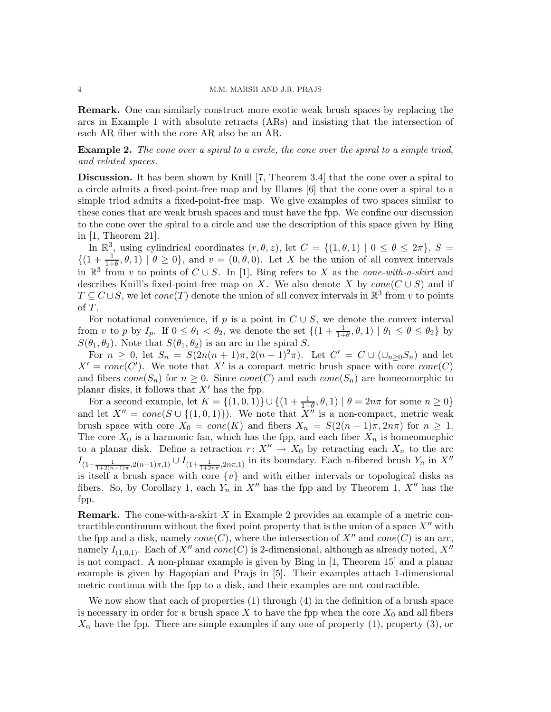Remark. One can similarly construct more exotic weak brush spaces by replacing the arcs in Example 1 with absolute retracts (ARs) and insisting that the intersection of each AR fiber with the core AR also be an AR.

Example 2. The cone over a spiral to a circle, the cone over the spiral to a simple triod, and related spaces.

Discussion. It has been shown by Knill [7, Theorem 3.4] that the cone over a spiral to a circle admits a fixed-point-free map and by Illanes [6] that the cone over a spiral to a simple triod admits a fixed-point-free map. We give examples of two spaces similar to these cones that are weak brush spaces and must have the fpp. We confine our discussion to the cone over the spiral to a circle and use the description of this space given by Bing in [1, Theorem 21].

In  $\mathbb{R}^3$ , using cylindrical coordinates  $(r, \theta, z)$ , let  $C = \{(1, \theta, 1) | 0 \le \theta \le 2\pi\}$ ,  $S =$  $\{(1+\frac{1}{1+\theta},\theta,1) \mid \theta \geq 0\}$ , and  $v = (0,\theta,0)$ . Let X be the union of all convex intervals in  $\mathbb{R}^3$  from v to points of  $C \cup S$ . In [1], Bing refers to X as the *cone-with-a-skirt* and describes Knill's fixed-point-free map on X. We also denote X by  $cone(C \cup S)$  and if  $T \subseteq C \cup S$ , we let  $cone(T)$  denote the union of all convex intervals in  $\mathbb{R}^3$  from v to points of T.

For notational convenience, if p is a point in  $C \cup S$ , we denote the convex interval from v to p by  $I_p$ . If  $0 \le \theta_1 < \theta_2$ , we denote the set  $\{(1+\frac{1}{1+\theta}, \theta, 1) \mid \theta_1 \le \theta \le \theta_2\}$  by  $S(\theta_1, \theta_2)$ . Note that  $S(\theta_1, \theta_2)$  is an arc in the spiral S.

For  $n \geq 0$ , let  $S_n = S(2n(n+1)\pi, 2(n+1)^2\pi)$ . Let  $C' = C \cup (\cup_{n>0} S_n)$  and let  $X' = cone(C')$ . We note that X' is a compact metric brush space with core  $cone(C)$ and fibers  $cone(S_n)$  for  $n \geq 0$ . Since  $cone(C)$  and each  $cone(S_n)$  are homeomorphic to planar disks, it follows that  $X'$  has the fpp.

For a second example, let  $K = \{(1, 0, 1)\} \cup \{(1 + \frac{1}{1+\theta}, \theta, 1) | \theta = 2n\pi \text{ for some } n \ge 0\}$ and let  $X'' = cone(S \cup \{(1, 0, 1)\})$ . We note that  $X''$  is a non-compact, metric weak brush space with core  $X_0 = cone(K)$  and fibers  $X_n = S(2(n-1)\pi, 2n\pi)$  for  $n \geq 1$ . The core  $X_0$  is a harmonic fan, which has the fpp, and each fiber  $X_n$  is homeomorphic to a planar disk. Define a retraction  $r: X'' \to X_0$  by retracting each  $X_n$  to the arc  $I_{(1+\frac{1}{1+2(n-1)\pi},2(n-1)\pi,1)}\cup I_{(1+\frac{1}{1+2n\pi},2n\pi,1)}$  in its boundary. Each n-fibered brush  $Y_n$  in  $X''$ is itself a brush space with core  $\{v\}$  and with either intervals or topological disks as fibers. So, by Corollary 1, each  $Y_n$  in  $X''$  has the fpp and by Theorem 1,  $X''$  has the fpp.

**Remark.** The cone-with-a-skirt  $X$  in Example 2 provides an example of a metric contractible continuum without the fixed point property that is the union of a space  $X''$  with the fpp and a disk, namely  $cone(C)$ , where the intersection of  $X''$  and  $cone(C)$  is an arc, namely  $I_{(1,0,1)}$ . Each of  $X''$  and  $cone(C)$  is 2-dimensional, although as already noted,  $X''$ is not compact. A non-planar example is given by Bing in [1, Theorem 15] and a planar example is given by Hagopian and Prajs in [5]. Their examples attach 1-dimensional metric continua with the fpp to a disk, and their examples are not contractible.

We now show that each of properties (1) through (4) in the definition of a brush space is necessary in order for a brush space  $X$  to have the fpp when the core  $X_0$  and all fibers  $X_{\alpha}$  have the fpp. There are simple examples if any one of property (1), property (3), or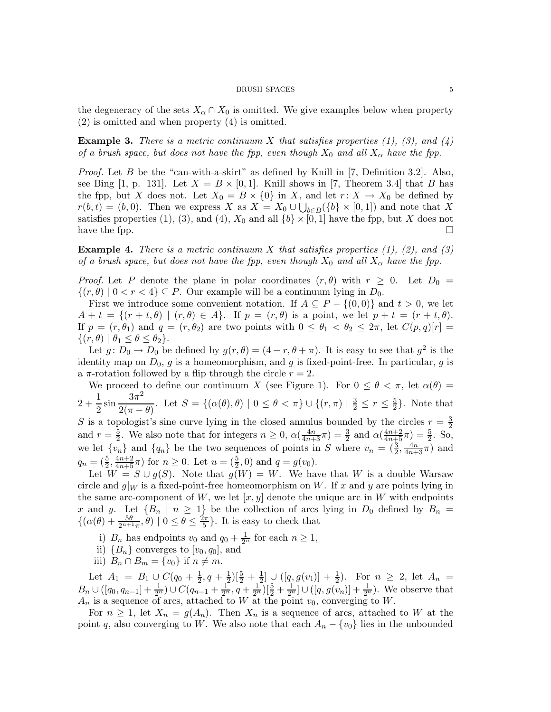the degeneracy of the sets  $X_\alpha \cap X_0$  is omitted. We give examples below when property (2) is omitted and when property (4) is omitted.

**Example 3.** There is a metric continuum X that satisfies properties  $(1)$ ,  $(3)$ , and  $(4)$ of a brush space, but does not have the fpp, even though  $X_0$  and all  $X_\alpha$  have the fpp.

*Proof.* Let B be the "can-with-a-skirt" as defined by Knill in [7, Definition 3.2]. Also, see Bing [1, p. 131]. Let  $X = B \times [0,1]$ . Knill shows in [7, Theorem 3.4] that B has the fpp, but X does not. Let  $X_0 = B \times \{0\}$  in X, and let  $r: X \to X_0$  be defined by  $r(b, t) = (b, 0)$ . Then we express X as  $X = X_0 \cup \bigcup_{b \in B} (\{b\} \times [0, 1])$  and note that X satisfies properties (1), (3), and (4),  $X_0$  and all  $\{b\} \times [0, 1]$  have the fpp, but X does not have the fpp.  $\Box$ 

**Example 4.** There is a metric continuum X that satisfies properties  $(1)$ ,  $(2)$ , and  $(3)$ of a brush space, but does not have the fpp, even though  $X_0$  and all  $X_\alpha$  have the fpp.

*Proof.* Let P denote the plane in polar coordinates  $(r, \theta)$  with  $r \geq 0$ . Let  $D_0 =$  $\{(r,\theta) \mid 0 < r < 4\} \subseteq P$ . Our example will be a continuum lying in  $D_0$ .

First we introduce some convenient notation. If  $A \subseteq P - \{(0,0)\}\)$  and  $t > 0$ , we let  $A + t = \{(r + t, \theta) \mid (r, \theta) \in A\}.$  If  $p = (r, \theta)$  is a point, we let  $p + t = (r + t, \theta)$ . If  $p = (r, \theta_1)$  and  $q = (r, \theta_2)$  are two points with  $0 \le \theta_1 < \theta_2 \le 2\pi$ , let  $C(p, q)[r] =$  $\{(r,\theta) \mid \theta_1 \leq \theta \leq \theta_2\}.$ 

Let  $g: D_0 \to D_0$  be defined by  $g(r, \theta) = (4 - r, \theta + \pi)$ . It is easy to see that  $g^2$  is the identity map on  $D_0$ , g is a homeomorphism, and g is fixed-point-free. In particular, g is a  $\pi$ -rotation followed by a flip through the circle  $r = 2$ .

We proceed to define our continuum X (see Figure 1). For  $0 \le \theta < \pi$ , let  $\alpha(\theta)$  $2 + \frac{1}{2}$  $\frac{1}{2}\sin\frac{3\pi^2}{2(\pi-1)}$  $\frac{3\pi}{2(\pi-\theta)}$ . Let  $S = \{(\alpha(\theta), \theta) \mid 0 \leq \theta < \pi\} \cup \{(r, \pi) \mid \frac{3}{2} \leq r \leq \frac{5}{2}\}$  $\frac{5}{2}$ . Note that S is a topologist's sine curve lying in the closed annulus bounded by the circles  $r = \frac{3}{2}$ 2 and  $r=\frac{5}{2}$  $\frac{5}{2}$ . We also note that for integers  $n \geq 0$ ,  $\alpha(\frac{4n}{4n+3}\pi) = \frac{3}{2}$  and  $\alpha(\frac{4n+2}{4n+5}\pi) = \frac{5}{2}$ . So, we let  $\{v_n\}$  and  $\{q_n\}$  be the two sequences of points in S where  $v_n = (\frac{3}{2}, \frac{4n}{4n+3}\pi)$  and  $q_n = (\frac{5}{2}, \frac{4n+2}{4n+5}\pi)$  for  $n \ge 0$ . Let  $u = (\frac{5}{2}, 0)$  and  $q = g(v_0)$ .

Let  $W = S \cup g(S)$ . Note that  $g(W) = W$ . We have that W is a double Warsaw circle and  $q|_W$  is a fixed-point-free homeomorphism on W. If x and y are points lying in the same arc-component of W, we let  $[x, y]$  denote the unique arc in W with endpoints x and y. Let  ${B_n \mid n \geq 1}$  be the collection of arcs lying in  $D_0$  defined by  $B_n =$  $\{(\alpha(\theta) + \frac{5\theta}{2^{n+1}\pi}, \theta) \mid 0 \leq \theta \leq \frac{2\pi}{5}\}$  $\frac{2\pi}{5}$ . It is easy to check that

i)  $B_n$  has endpoints  $v_0$  and  $q_0 + \frac{1}{2^n}$  $\frac{1}{2^n}$  for each  $n \geq 1$ ,

- ii)  ${B_n}$  converges to  $[v_0, q_0]$ , and
- iii)  $B_n \cap B_m = \{v_0\}$  if  $n \neq m$ .

Let  $A_1 = B_1 \cup C(q_0 + \frac{1}{2}, q + \frac{1}{2})[\frac{5}{2} + \frac{1}{2}] \cup ([q, g(v_1)] + \frac{1}{2})$ . For  $n \geq 2$ , let  $A_n =$  $B_n \cup (q_0, q_{n-1}] + \frac{1}{2^n}) \cup C(q_{n-1} + \frac{1}{2^n})$  $\frac{1}{2^n}, q+\frac{1}{2^n}$  $\frac{1}{2^n}$ ) $\left[\frac{5}{2} + \frac{1}{2^n}\right]$  $\frac{1}{2^n}$ ]  $\cup$  ([q, g(v<sub>n</sub>)] +  $\frac{1}{2^n}$ ). We observe that  $A_n$  is a sequence of arcs, attached to W at the point  $v_0$ , converging to W.

For  $n \geq 1$ , let  $X_n = g(A_n)$ . Then  $X_n$  is a sequence of arcs, attached to W at the point q, also converging to W. We also note that each  $A_n - \{v_0\}$  lies in the unbounded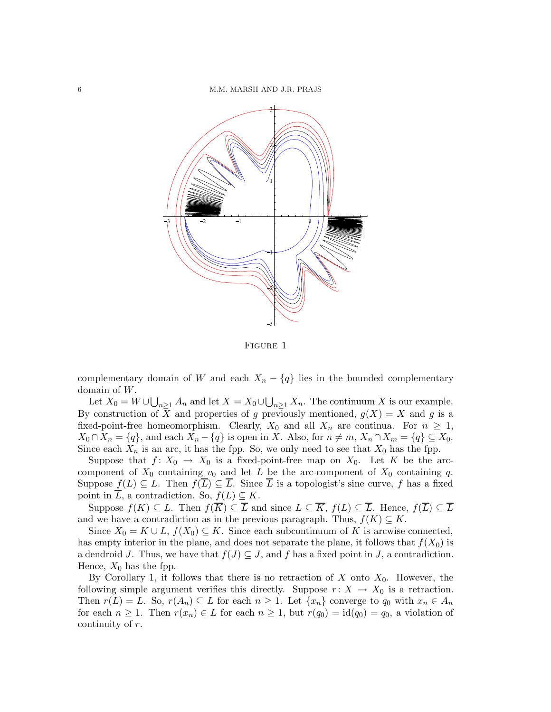

Figure 1

complementary domain of W and each  $X_n - \{q\}$  lies in the bounded complementary domain of W.

Let  $X_0 = W \cup \bigcup_{n \geq 1} A_n$  and let  $X = X_0 \cup \bigcup_{n \geq 1} X_n$ . The continuum X is our example. By construction of X and properties of g previously mentioned,  $g(X) = X$  and g is a fixed-point-free homeomorphism. Clearly,  $X_0$  and all  $X_n$  are continua. For  $n \geq 1$ ,  $X_0 \cap X_n = \{q\}$ , and each  $X_n - \{q\}$  is open in X. Also, for  $n \neq m$ ,  $X_n \cap X_m = \{q\} \subseteq X_0$ . Since each  $X_n$  is an arc, it has the fpp. So, we only need to see that  $X_0$  has the fpp.

Suppose that  $f: X_0 \to X_0$  is a fixed-point-free map on  $X_0$ . Let K be the arccomponent of  $X_0$  containing  $v_0$  and let L be the arc-component of  $X_0$  containing q. Suppose  $f(L) \subseteq L$ . Then  $f(\overline{L}) \subseteq \overline{L}$ . Since  $\overline{L}$  is a topologist's sine curve, f has a fixed point in  $\overline{L}$ , a contradiction. So,  $f(L) \subseteq K$ .

Suppose  $f(K) \subseteq L$ . Then  $f(\overline{K}) \subseteq \overline{L}$  and since  $L \subseteq \overline{K}$ ,  $f(L) \subseteq \overline{L}$ . Hence,  $f(\overline{L}) \subseteq \overline{L}$ and we have a contradiction as in the previous paragraph. Thus,  $f(K) \subseteq K$ .

Since  $X_0 = K \cup L$ ,  $f(X_0) \subseteq K$ . Since each subcontinuum of K is arcwise connected, has empty interior in the plane, and does not separate the plane, it follows that  $f(X_0)$  is a dendroid J. Thus, we have that  $f(J) \subseteq J$ , and f has a fixed point in J, a contradiction. Hence,  $X_0$  has the fpp.

By Corollary 1, it follows that there is no retraction of  $X$  onto  $X_0$ . However, the following simple argument verifies this directly. Suppose  $r: X \to X_0$  is a retraction. Then  $r(L) = L$ . So,  $r(A_n) \subseteq L$  for each  $n \geq 1$ . Let  $\{x_n\}$  converge to  $q_0$  with  $x_n \in A_n$ for each  $n \geq 1$ . Then  $r(x_n) \in L$  for each  $n \geq 1$ , but  $r(q_0) = id(q_0) = q_0$ , a violation of continuity of r.